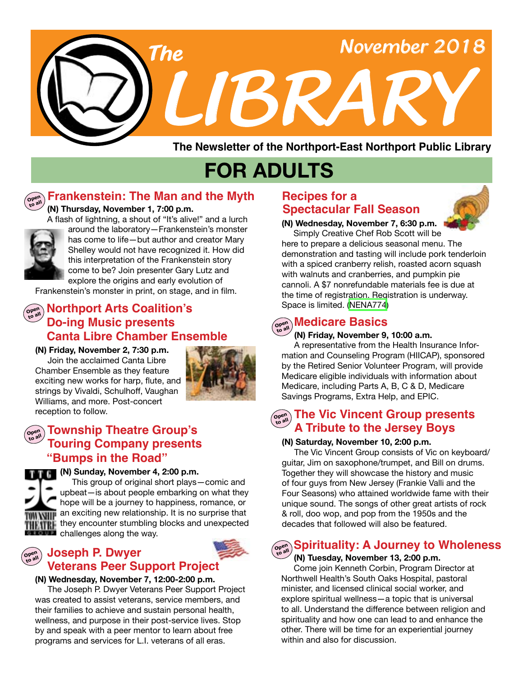

**The Newsletter of the Northport-East Northport Public Library**

# **FOR ADULTS**

#### **Open to all**

## **Frankenstein: The Man and the Myth**

 **(N) Thursday, November 1, 7:00 p.m.**



 A flash of lightning, a shout of "It's alive!" and a lurch around the laboratory—Frankenstein's monster has come to life—but author and creator Mary Shelley would not have recognized it. How did this interpretation of the Frankenstein story come to be? Join presenter Gary Lutz and explore the origins and early evolution of

Frankenstein's monster in print, on stage, and in film.

## **Morthport Arts Coalition's Do-ing Music presents Canta Libre Chamber Ensemble**

**(N) Friday, November 2, 7:30 p.m.**  Join the acclaimed Canta Libre Chamber Ensemble as they feature exciting new works for harp, flute, and strings by Vivaldi, Schulhoff, Vaughan Williams, and more. Post-concert reception to follow.



#### **Open to all Township Theatre Group's Touring Company presents "Bumps in the Road"**



#### **(N) Sunday, November 4, 2:00 p.m.**

This group of original short plays—comic and upbeat—is about people embarking on what they hope will be a journey to happiness, romance, or **WIF** an exciting new relationship. It is no surprise that THE they encounter stumbling blocks and unexpected **Conduct** challenges along the way.

#### **Open to all Joseph P. Dwyer Veterans Peer Support Project**



 The Joseph P. Dwyer Veterans Peer Support Project was created to assist veterans, service members, and their families to achieve and sustain personal health, wellness, and purpose in their post-service lives. Stop by and speak with a peer mentor to learn about free programs and services for L.I. veterans of all eras.

## **Recipes for a Spectacular Fall Season**



**(N) Wednesday, November 7, 6:30 p.m.** Simply Creative Chef Rob Scott will be here to prepare a delicious seasonal menu. The

demonstration and tasting will include pork tenderloin with a spiced cranberry relish, roasted acorn squash with walnuts and cranberries, and pumpkin pie cannoli. A \$7 nonrefundable materials fee is due at the time of registration. Registration is underway. Space is limited. ([NENA774\)](https://search.livebrary.com/record%3Dg1085721~S43)

## $\widehat{\theta}$  and **Medicare Basics**

#### **(N) Friday, November 9, 10:00 a.m.**

 A representative from the Health Insurance Information and Counseling Program (HIICAP), sponsored by the Retired Senior Volunteer Program, will provide Medicare eligible individuals with information about Medicare, including Parts A, B, C & D, Medicare Savings Programs, Extra Help, and EPIC.

## **The Vic Vincent Group presents A Tribute to the Jersey Boys**

#### **(N) Saturday, November 10, 2:00 p.m.**

 The Vic Vincent Group consists of Vic on keyboard/ guitar, Jim on saxophone/trumpet, and Bill on drums. Together they will showcase the history and music of four guys from New Jersey (Frankie Valli and the Four Seasons) who attained worldwide fame with their unique sound. The songs of other great artists of rock & roll, doo wop, and pop from the 1950s and the decades that followed will also be featured.

#### **Spirituality: A Journey to Wholeness Open to all**

 **(N) Tuesday, November 13, 2:00 p.m.**

 Come join Kenneth Corbin, Program Director at Northwell Health's South Oaks Hospital, pastoral minister, and licensed clinical social worker, and explore spiritual wellness—a topic that is universal to all. Understand the difference between religion and spirituality and how one can lead to and enhance the other. There will be time for an experiential journey within and also for discussion.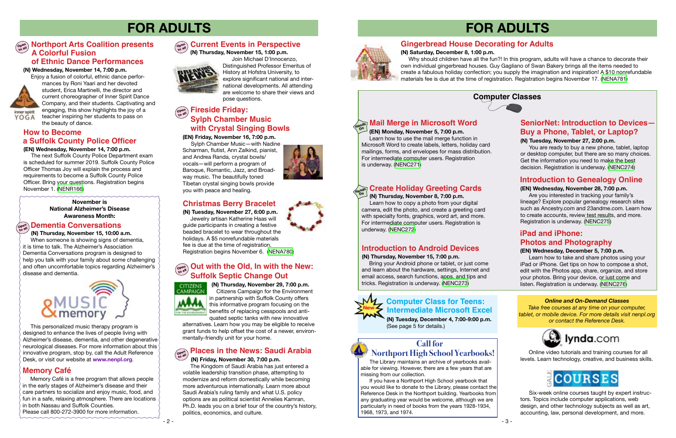## **FOR ADULTS**







#### **Computer Classes**



## **SeniorNet: Introduction to Devices-Buy a Phone, Tablet, or Laptop?**<br>(EN) Friday, November 16, 7:00 p.m.<br>Learn how to use the mail merge function in **1996.** The second of the second of the second of the second of the second of the second of the second of th

# **FOR ADULTS**

## **Introduction to Genealogy Online**

 **(EN) Wednesday, November 28, 7:00 p.m.**

Bring your Android phone or tablet, or just come and learn about the hardware, settings, Internet and email access, search functions, apps, and tips and tricks. Registration is underway. (NENC273)



 Are you interested in tracking your family's lineage? Explore popular genealogy research sites such as Ancestry.com and 23andme.com. Learn how to create accounts, review test results, and more. Registration is underway. ([NENC275](https://search.livebrary.com/record%3Dg1086513~S43))

## **Introduction to Android Devices**

#### **(N) Thursday, November 15, 7:00 p.m.**

(N) Thursday, November 29, 7:00 p.m. Citizens Campaign for the Environment in partnership with Suffolk County offers this informative program focusing on the benefits of replacing cesspools and antiquated septic tanks with new innovative

 Enjoy a fusion of colorful, ethnic dance performances by Roni Yaari and her devoted student, Erica Martinelli, the director and current choreographer of Inner Spirit Dance Company, and their students. Captivating and engaging, this show highlights the joy of a teacher inspiring her students to pass on<br>the beauty of dance.

> alternatives. Learn how you may be eligible to receive grant funds to help offset the cost of a newer, environmentally-friendly unit for your home.

**(N) Wednesday, November 14, 7:00 p.m.**



YOGA

#### **(N) Tuesday, November 27, 2:00 p.m.**

#### **Open to all Places in the News: Saudi Arabia**

You are ready to buy a new phone, tablet, laptop or desktop computer, but there are so many choices. Get the information you need to make the best decision. Registration is underway. ([NENC274](https://search.livebrary.com/record%3Dg1085836~S43))

#### **(EN) Monday, November 5, 7:00 p.m.**

#### **Mail Merge in Microsoft Word Hands On**

 Learn how to use the mail merge function in Microsoft Word to create labels, letters, holiday card mailings, forms, and envelopes for mass distribution. For intermediate computer users. Registration is underway. ([NENC271](https://search.livebrary.com/record%3Dg1075107~S43))

## **Create Holiday Greeting Cards**

 **(N) Thursday, November 8, 7:00 p.m.** 

 Learn how to copy a photo from your digital camera, edit the photo, and create a greeting card with specialty fonts, graphics, word art, and more. For intermediate computer users. Registration is underway. ([NENC272](https://search.livebrary.com/record%3Dg1085807~S43))

**Hands On**

#### **(EN) Wednesday, December 5, 7:00 p.m.**

## **iPad and iPhone: Photos and Photography**

 Learn how to take and share photos using your iPad or iPhone. Get tips on how to compose a shot, edit with the Photos app, share, organize, and store your photos. Bring your device, or just come and listen. Registration is underway. ([NENC276](https://search.livebrary.com/record%3Dg1071123~S43))

**November is National Alzheimer's Disease Awareness Month:**

 **(N) Thursday, November 15, 10:00 a.m.**

## **Out with the Old, In with the New: Suffolk Septic Change Out**



## **Dementia Conversations Open to all**

 When someone is showing signs of dementia, it is time to talk. The Alzheimer's Association Dementia Conversations program is designed to help you talk with your family about some challenging and often uncomfortable topics regarding Alzheimer's disease and dementia.



#### **(N) Friday, November 30, 7:00 p.m.**

 The Kingdom of Saudi Arabia has just entered a volatile leadership transition phase, attempting to modernize and reform domestically while becoming more adventurous internationally. Learn more about Saudi Arabia's ruling family and what U.S. policy options are as political scientist Annelies Kamran, Ph.D. leads you on a brief tour of the country's history, politics, economics, and culture.



## $\left(\begin{smallmatrix} \mathsf{open} \ \mathsf{on} \end{smallmatrix} \right)$  **Fireside Friday: Sylph Chamber Music with Crystal Singing Bowls**

The Library maintains an archive of yearbooks available for viewing. However, there are a few years that are missing from our collection.

 If you have a Northport High School yearbook that you would like to donate to the Library, please contact the Reference Desk in the Northport building. Yearbooks from any graduating year would be welcome, although we are particularly in need of books from the years 1928-1934, 1968, 1973, and 1974.

 Online video tutorials and training courses for all levels. Learn technology, creative, and business skills.



### **Open to all Northport Arts Coalition presents A Colorful Fusion**

#### *Online and On-Demand Classes*

*Take free courses at any time on your computer, tablet, or mobile device. For more details visit nenpl.org or contact the Reference Desk.*



 Six-week online courses taught by expert instructors. Topics include computer applications, web design, and other technology subjects as well as art, accounting, law, personal development, and more.

 This personalized music therapy program is designed to enhance the lives of people living with Alzheimer's disease, dementia, and other degenerative neurological diseases. For more information about this innovative program, stop by, call the Adult Reference Desk, or visit our website at **www.nenpl.org**.

## **Memory Café**

Memory Café is a free program that allows people in the early stages of Alzheimer's disease and their care partners to socialize and enjoy music, food, and fun in a safe, relaxing atmosphere. There are locations in both Nassau and Suffolk Counties. Please call 800-272-3900 for more information.

**(N) Tuesday, November 27, 6:00 p.m.** Jewelry artisan Katherine Haas will guide participants in creating a festive beaded bracelet to wear throughout the holidays. A \$5 nonrefundable materials fee is due at the time of registration. Registration begins November 6. [\(NENA780\)](https://search.livebrary.com/record%3Dg1086274~S43)

## **Call for Northport High School Yearbooks!**

## **Christmas Berry Bracelet**

 The next Suffolk County Police Department exam is scheduled for summer 2019. Suffolk County Police Officer Thomas Joy will explain the process and requirements to become a Suffolk County Police

#### **(EN) Wednesday, November 14, 7:00 p.m. How to Become a Suffolk County Police Officer**

Officer. Bring your questions. Registration begins November 1. [\(NENR166](https://search.livebrary.com/record%3Dg1086370~S43))

> **(N) Tuesday, December 4, 7:00-9:00 p.m.** (See page 5 for details.)

### **Computer Class for Teens: Intermediate Microsoft Excel**

 **(N) Thursday, November 15, 1:00 p.m.** 



Join Michael D'Innocenzo,

#### **Open to all Current Events in Perspective**

Distinguished Professor Emeritus of History at Hofstra University, to explore significant national and international developments. All attending are welcome to share their views and pose questions.

**(N) Saturday, December 8, 1:00 p.m.** Why should children have all the fun?! In this program, adults will have a chance to decorate their own individual gingerbread houses. Guy Gagliano of Swan Bakery brings all the items needed to create a fabulous holiday confection; you supply the imagination and inspiration! A \$10 nonrefundable materials fee is due at the time of registration. Registration begins November 17. [\(NENA781\)](https://search.livebrary.com/record%3Dg1086275~S43)

## **Gingerbread House Decorating for Adults**

Sylph Chamber Music—with Nadine Scharman, flutist, Ann Zalkind, pianist, and Andrea Randa, crystal bowls/ vocals—will perform a program of Baroque, Romantic, Jazz, and Broadway music. The beautifully toned Tibetan crystal singing bowls provide you with peace and healing.

#### **of Ethnic Dance Performances**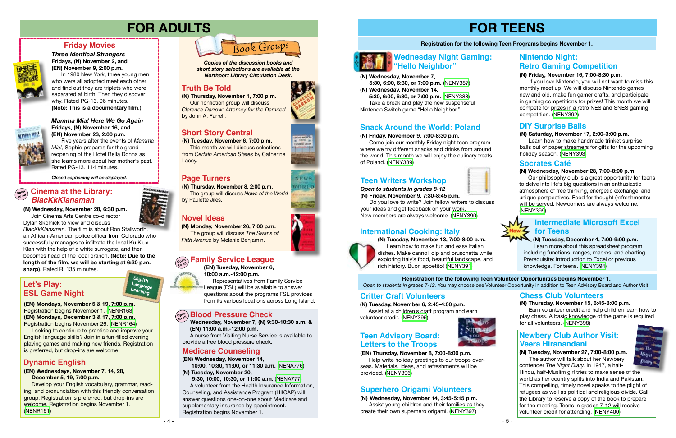## **FOR TEENS**

#### **Registration for the following Teen Programs begins November 1.**

#### **(N) Friday, November 9, 7:00-8:30 p.m.**

 Come join our monthly Friday night teen program where we try different snacks and drinks from around the world. This month we will enjoy the culinary treats of Poland. [\(NENY389\)](https://search.livebrary.com/record%3Dg1085784~S43)

## **Snack Around the World: Poland**

- **(N) Wednesday, November 7, 5:30, 6:00, 6:30, or 7:00 p.m.** ([NENY387\)](https://search.livebrary.com/record%3Dg1085808~S43)
- **(N) Wednesday, November 14, 5:30, 6:00, 6:30, or 7:00 p.m.** [\(NENY388](https://search.livebrary.com/record%3Dg1085819~S43)) Take a break and play the new suspenseful Nintendo Switch game "Hello Neighbor."

# **Wednesday Night Gaming:**

#### **(N) Saturday, November 17, 2:00-3:00 p.m.**

 Learn how to make handmade trinket surprise balls out of paper streamers for gifts for the upcoming holiday season. ([NENY393\)](https://search.livebrary.com/record%3Dg1085787~S43)

#### **DIY Surprise Balls**









#### *Mamma Mia! Here We Go Again* **Fridays, (N) November 16, and (EN) November 23, 2:00 p.m.**

Five years after the events of *Mamma Mia!*, Sophie prepares for the grand reopening of the Hotel Bella Donna as she learns more about her mother's past. Rated PG-13. 114 minutes.

> **(N) Monday, November 26, 7:00 p.m.** The group will discuss *The Swans of Fifth Avenue* by Melanie Benjamin.

## **Family Service League**

### **Friday Movies**



**UNIV VILL** 

*Three Identical Strangers* **Fridays, (N) November 2, and (EN) November 9, 2:00 p.m.** 

 In 1980 New York, three young men who were all adopted meet each other and find out they are triplets who were separated at birth. Then they discover why. Rated PG-13. 96 minutes. **(Note: This is a documentary film**.)

*Closed captioning will be displayed.*

## **FOR ADULTS**

**(N) Wednesday, November 28, 6:30 p.m.** Join Cinema Arts Centre co-director

Dylan Skolnick to view and discuss

*BlacKkKlansman.* The film is about Ron Stallworth, an African-American police officer from Colorado who successfully manages to infiltrate the local Ku Klux Klan with the help of a white surrogate, and then becomes head of the local branch. **(Note: Due to the length of the film, we will be starting at 6:30 p.m. sharp)**. Rated R. 135 minutes.

**(N) Thursday, November 1, 7:00 p.m.** Our nonfiction group will discuss *Clarence Darrow: Attorney for the Damned* by John A. Farrell.



**Truth Be Told** *Northport Library Circulation Desk. Copies of the discussion books and short story selections are available at the*

**(N) Thursday, November 8, 2:00 p.m.** The group will discuss *News of the World*  by Paulette Jiles.

## **Nintendo Night: Retro Gaming Competition**

### **Truth Be Told**

## **Novel Ideas**

### **Page Turners**

## **Short Story Central**

**(N) Tuesday, November 6, 7:00 p.m.**

### $\begin{bmatrix} \mathbb{P}_{\mathbb{P}_{\text{adv}}}^{\text{open}} \end{bmatrix}$  Cinema at the Library: *BlacKkKlansman*

 This month we will discuss selections from *Certain American States* by Catherine Lacey.

#### **(N) Wednesday, November 28, 7:00-8:00 p.m.**

 Our philosophy club is a great opportunity for teens to delve into life's big questions in an enthusiastic atmosphere of free thinking, energetic exchange, and unique perspectives. Food for thought (refreshments) will be served. Newcomers are always welcome. ([NENY399\)](https://search.livebrary.com/record%3Dg1085789~S43)

#### **Socrates Café**

*Open to students in grades 8-12* **(N) Friday, November 9, 7:30-8:45 p.m.**

 Do you love to write? Join fellow writers to discuss your ideas and get feedback on your work. New members are always welcome. ([NENY390](https://search.livebrary.com/record%3Dg1085768~S43))

## **Teen Writers Workshop**

**(N) Tuesday, November 13, 7:00-8:00 p.m.** Learn how to make fun and easy Italian dishes. Make cannoli dip and bruschetta while exploring Italy's food, beautiful landscape, and rich history. Buon appetito! ([NENY391](https://search.livebrary.com/record%3Dg1085785~S43))

## **International Cooking: Italy**



**(N) Tuesday, November 6, 2:45-4:00 p.m.** Assist at a children's craft program and earn volunteer credit. [\(NENY395\)](https://search.livebrary.com/record%3Dg1085810~S43)



## **Critter Craft Volunteers**

#### **(N) Thursday, November 15, 6:45-8:00 p.m.**

 Earn volunteer credit and help children learn how to play chess. A basic knowledge of the game is required for all volunteers. ([NENY398](https://search.livebrary.com/record%3Dg1085814~S43))

#### **Chess Club Volunteers**

**(N) Wednesday, November 14, 3:45-5:15 p.m.** Assist young children and their families as they create their own superhero origami. [\(NENY397\)](https://search.livebrary.com/record%3Dg1085812~S43)

## **Superhero Origami Volunteers**

#### **(EN) Wednesday, November 14,**

 **10:00, 10:30, 11:00, or 11:30 a.m.** ([NENA776\)](https://search.livebrary.com/record%3Dg1086293~S43) **(N) Tuesday, November 20,**

 **9:30, 10:00, 10:30, or 11:00 a.m.** [\(NENA777\)](https://search.livebrary.com/record%3Dg1086299~S43) A volunteer from the Health Insurance Information, Counseling, and Assistance Program (HIICAP) will answer questions one-on-one about Medicare and supplementary insurance by appointment. Registration begins November 1.











## **Medicare Counseling**

#### **(N) Friday, November 16, 7:00-8:30 p.m.**

 If you love Nintendo, you will not want to miss this monthly meet up. We will discuss Nintendo games new and old, make fun gamer crafts, and participate in gaming competitions for prizes! This month we will compete for prizes in a retro NES and SNES gaming competition. ([NENY392\)](https://search.livebrary.com/record%3Dg1085786~S43)

#### **Registration for the following Teen Volunteer Opportunities begins November 1.** *Open to students in grades 7-12.* You may choose one Volunteer Opportunity in addition to Teen Advisory Board and Author Visit.

## **(EN) Thursday, November 8, 7:00-8:00 p.m.**

 Help write holiday greetings to our troops overseas. Materials, ideas, and refreshments will be provided. ([NENY396](https://search.livebrary.com/record%3Dg1085811~S43))

 **Wednesday, November 7, (N) 9:30-10:30 a.m. & (EN) 11:00 a.m.-12:00 p.m.** 

 A nurse from Visiting Nurse Service is available to provide a free blood pressure check.

#### **Teen Advisory Board: Letters to the Troops**

#### **Intermediate Microsoft Excel for Teens**

#### **(N) Tuesday, December 4, 7:00-9:00 p.m.** Learn more about this spreadsheet program including functions, ranges, macros, and charting. Prerequisite: Introduction to Excel or previous knowledge. For teens. [\(NENY394](https://search.livebrary.com/record%3Dg1085788~S43))

**(N) Tuesday, November 27, 7:00-8:00 p.m.** The author will talk about her Newbery contender *The Night Diary.* In 1947, a half-Hindu, half-Muslim girl tries to make sense of the

world as her country splits into India and Pakistan. This compelling, timely novel speaks to the plight of refugees as well as political and religious divide. Call the Library to reserve a copy of the book to prepare for the meeting. Teens in grades 7-12 will receive volunteer credit for attending. [\(NENY400](https://search.livebrary.com/record%3Dg1086261~S43))

#### **Blood Pressure Check Open to all**

### **Newbery Club Author Visit: Veera Hiranandani**

#### **(EN) Wednesdays, November 7, 14, 28, December 5, 19, 7:00 p.m.**

Develop your English vocabulary, grammar, reading, and pronunciation with this friendly conversation group. Registration is preferred, but drop-ins are welcome. Registration begins November 1. ([NENR161](https://search.livebrary.com/record%3Dg1086372~S43))

## **Dynamic English**

**(EN) Mondays, November 5 & 19, 7:00 p.m.**  Registration begins November 1. [\(NENR163](https://search.livebrary.com/record%3Dg1086354~S43)) **(EN) Mondays, December 3 & 17, 7:00 p.m.** Registration begins November 26. ([NENR164](https://search.livebrary.com/record%3Dg1086367~S43))

Looking to continue to practice and improve your English language skills? Join in a fun-filled evening playing games and making new friends. Registration is preferred, but drop-ins are welcome.

## **Let's Play: ESL Game Night**



**(EN) Tuesday, November 6, 10:00 a.m.-12:00 p.m.** Representatives from Family Service

League (FSL) will be available to answer questions about the programs FSL provides from its various locations across Long Island.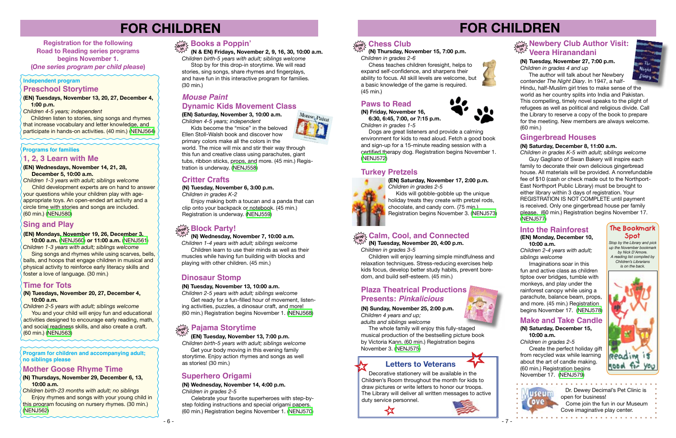#### **(N) Tuesdays, November 20, 27, December 4, 10:00 a.m.**

*Children 2-5 years with adult; siblings welcome* You and your child will enjoy fun and educational activities designed to encourage early reading, math, and social readiness skills, and also create a craft. (60 min.) ([NENJ563](https://search.livebrary.com/record%3Dg1085874~S43))

## **Sing and Play**

**(EN) Mondays, November 19, 26, December 3,**

 **10:00 a.m.** ([NENJ560](https://search.livebrary.com/record%3Dg1085690~S43)) **or 11:00 a.m.** ([NENJ561](https://search.livebrary.com/record%3Dg1085693~S43)) *Children 1-3 years with adult; siblings welcome*

 Sing songs and rhymes while using scarves, bells, balls, and hoops that engage children in musical and physical activity to reinforce early literacy skills and foster a love of language. (30 min.)

**Children listen to stories, sing songs and rhymes** that increase vocabulary and letter knowledge, and participate in hands-on activities. (40 min.) [\(NENJ564\)](https://search.livebrary.com/record%3Dg1085688~S43)

**Programs for families**

## **FOR CHILDREN**

**Registration for the following Road to Reading series programs begins November 1. (***One series program per child please***)** 

### **Time for Tots**

**(EN) Tuesdays, November 13, 20, 27, December 4, 1:00 p.m.**

*Children 4-5 years; independent*

#### **Independent program Preschool Storytime**

The author will talk about her Newbery contender *The Night Diary*. In 1947, a half-Hindu, half-Muslim girl tries to make sense of the world as her country splits into India and Pakistan. This compelling, timely novel speaks to the plight of refugees as well as political and religious divide. Call the Library to reserve a copy of the book to prepare for the meeting. New members are always welcome. (60 min.)

 **(N & EN) Fridays, November 2, 9, 16, 30, 10:00 a.m.** *Children birth-5 years with adult; siblings welcome*

 Stop by for this drop-in storytime. We will read stories, sing songs, share rhymes and fingerplays, and have fun in this interactive program for families. (30 min.)

*Children 2-5 years with adult; siblings welcome* Get ready for a fun-filled hour of movement, listen-

## **drop in Books a Poppin'**

# **FOR CHILDREN**

#### **(N) Tuesday, November 27, 7:00 p.m.** *Children in grades 4 and up*

 **(EN) Tuesday, November 13, 7:00 p.m.**

## **Pajama Storytime drop in**

*Children birth-5 years with adult; siblings welcome* Get your body moving in this evening family storytime. Enjoy action rhymes and songs as well

## as stories! (30 min.)

## **Paws to Read**

**(N) Friday, November 16,** 

 **6:30, 6:45, 7:00, or 7:15 p.m.** *Children in grades 1-5*

Enjoy making both a toucan and a panda that can clip onto your backpack or notebook. (45 min.) Registration is underway. [\(NENJ559\)](https://search.livebrary.com/record%3Dg1085654~S43)

 Dogs are great listeners and provide a calming environment for kids to read aloud. Fetch a good book and sign-up for a 15-minute reading session with a certified therapy dog. Registration begins November 1. [\(NENJ572\)](https://search.livebrary.com/record%3Dg1085728~S43)

> *Stop by the Library and pick up the November bookmark by Nick D'Amore. A reading list compiled by Children's Librarians is on the back.*



#### **The Bookmark Spot**

## **Dinosaur Stomp**

**(N) Tuesday, November 13, 10:00 a.m.**

ing activities, puzzles, a dinosaur craft, and more! (60 min.) Registration begins November 1. [\(NENJ568\)](https://search.livebrary.com/record%3Dg1085875~S43)

## **Turkey Pretzels**

# **(EN) Saturday, November 17, 2:00 p.m.** *Children in grades 2-5*

The whole family will enjoy this fully-staged musical production of the bestselling picture book by Victoria Kann. (60 min.) Registration begins November 3. ([NENJ575](https://search.livebrary.com/record%3Dg1085729~S43))

 Kids will gobble-gobble up the unique holiday treats they create with pretzel rods, chocolate, and candy corn. (75 min.) Registration begins November 3. [\(NENJ573\)](https://search.livebrary.com/record%3Dg1084382~S43)

## **Letters to Veterans**

 Decorative stationery will be available in the Children's Room throughout the month for kids to draw pictures or write letters to honor our troops. The Library will deliver all written messages to active duty service personnel.







 $-6 -$ 



#### **Program for children and accompanying adult; no siblings please**

#### **(N) Thursdays, November 29, December 6, 13, 10:00 a.m.**

*Children birth-23 months with adult; no siblings* **Enjoy rhymes and songs with your young child in** this program focusing on nursery rhymes. (30 min.) ([NENJ562](https://search.livebrary.com/record%3Dg1085873~S43))

### **Mother Goose Rhyme Time**

**(EN) Wednesdays, November 14, 21, 28, December 5, 10:00 a.m.** 

### **drop in Newbery Club Author Visit: Veera Hiranandani**

*Children 1-3 years with adult; siblings welcome* **Child development experts are on hand to answer** your questions while your children play with ageappropriate toys. An open-ended art activity and a circle time with stories and songs are included. (60 min.) ([NENJ580](https://search.livebrary.com/record%3Dg1085708~S43))

#### **1, 2, 3 Learn with Me**

**(EN) Saturday, November 3, 10:00 a.m.** *Children 4-5 years; independent*

Kids become the "mice" in the beloved Ellen Stoll-Walsh book and discover how

#### *Mouse Paint* **Dynamic Kids Movement Class**

primary colors make all the colors in the world. The mice will mix and stir their way through this fun and creative class using parachutes, giant tubs, ribbon sticks, props, and more. (45 min.) Registration is underway. ([NENJ558](https://search.livebrary.com/record%3Dg1085572~S43))

## **Critter Crafts**

**(N) Tuesday, November 6, 3:00 p.m.**

*Children in grades K-2*

 **(N) Wednesday, November 7, 10:00 a.m.**

*Children 1-4 years with adult; siblings welcome* Children learn to use their minds as well as their muscles while having fun building with blocks and playing with other children. (45 min.)

## **drop in Block Party!**

## **Superhero Origami**

**(N) Wednesday, November 14, 4:00 p.m.**

*Children in grades 2-5*

Celebrate your favorite superheroes with step-bystep folding instructions and special origami papers. (60 min.) Registration begins November 1. ([NENJ570](https://search.livebrary.com/record%3Dg1085727~S43))

**(N) Thursday, November 15, 7:00 p.m.** *Children in grades 2-6*

 Chess teaches children foresight, helps to expand self-confidence, and sharpens their ability to focus. All skill levels are welcome, but a basic knowledge of the game is required. (45 min.)

## **drop in Calm, Cool, and Connected**

 **(N) Tuesday, November 20, 4:00 p.m.** *Children in grades 3-5*

 Children will enjoy learning simple mindfulness and relaxation techniques. Stress-reducing exercises help kids focus, develop better study habits, prevent boredom, and build self-esteem. (45 min.)

**(N) Sunday, November 25, 2:00 p.m.** *Children 4 years and up; adults and siblings welcome*

### **Presents:** *Pinkalicious* **Plaza Theatrical Productions**

#### **Gingerbread Houses**

#### **(N) Saturday, December 8, 11:00 a.m.**

*Children in grades K-5 with adult; siblings welcome*  Guy Gagliano of Swan Bakery will inspire each family to decorate their own delicious gingerbread house. All materials will be provided. A nonrefundable fee of \$10 (cash or check made out to the Northport-East Northport Public Library) must be brought to either library within 3 days of registration. Your REGISTRATION IS NOT COMPLETE until payment is received. Only one gingerbread house per family please. (60 min.) Registration begins November 17. ([NENJ577](https://search.livebrary.com/record%3Dg1085731~S43))

#### **Into the Rainforest**

**(EN) Monday, December 10, 10:00 a.m.**

*Children 2-4 years with adult; siblings welcome*

Imaginations soar in this fun and active class as children tiptoe over bridges, tumble with monkeys, and play under the rainforest canopy while using a parachute, balance beam, props, and more. (45 min.) Registration begins November 17. [\(NENJ578](https://search.livebrary.com/record%3Dg1085698~S43))

#### **Make and Take Candle**

**(N) Saturday, December 15, 10:00 a.m.**

*Children in grades 2-5*

useun

 Create the perfect holiday gift from recycled wax while learning about the art of candle making. (60 min.) Registration begins November 17. [\(NENJ579\)](https://search.livebrary.com/record%3Dg1085732~S43)